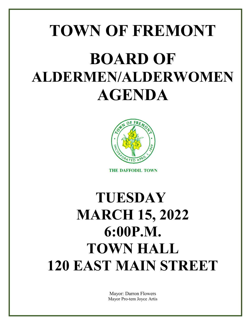# **TOWN OF FREMONT BOARD OF ALDERMEN/ALDERWOMEN AGENDA**



**THE DAFFODIL TOWN** 

## **TUESDAY MARCH 15, 2022 6:00P.M. TOWN HALL 120 EAST MAIN STREET**

Mayor: Darron Flowers Mayor Pro-tem Joyce Artis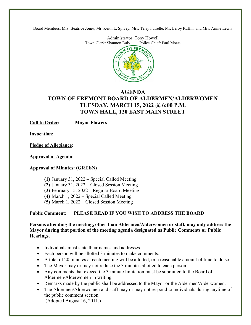Board Members: Mrs. Beatrice Jones, Mr. Keith L. Spivey, Mrs. Terry Futrelle, Mr. Leroy Ruffin, and Mrs. Annie Lewis

Administrator: Tony Howell<br>Shannon Daly Police Chief: Paul Moats Town Clerk: Shannon Daly Police Police Chiefs.



#### **AGENDA TOWN OF FREMONT BOARD OF ALDERMEN/ALDERWOMEN TUESDAY, MARCH 15, 2022 @ 6:00 P.M. TOWN HALL, 120 EAST MAIN STREET**

**Call to Order: Mayor Flowers**

**Invocation:**

**Pledge of Allegiance:**

**Approval of Agenda:**

#### **Approval of Minutes: (GREEN)**

**(1)** January 31, 2022 – Special Called Meeting

**(2)** January 31, 2022 – Closed Session Meeting

**(3)** February 15, 2022 – Regular Board Meeting

**(4)** March 1, 2022 – Special Called Meeting

**(5)** March 1, 2022 – Closed Session Meeting

#### **Public Comment: PLEASE READ IF YOU WISH TO ADDRESS THE BOARD**

**Persons attending the meeting, other than Aldermen/Alderwomen or staff, may only address the Mayor during that portion of the meeting agenda designated as Public Comments or Public Hearings.**

- Individuals must state their names and addresses.
- Each person will be allotted 3 minutes to make comments.
- A total of 20 minutes at each meeting will be allotted, or a reasonable amount of time to do so.
- The Mayor may or may not reduce the 3 minutes allotted to each person.
- Any comments that exceed the 3-minute limitation must be submitted to the Board of Aldermen/Alderwomen in writing.
- Remarks made by the public shall be addressed to the Mayor or the Aldermen/Alderwomen.
- The Aldermen/Alderwomen and staff may or may not respond to individuals during anytime of the public comment section. (Adopted August 16, 2011.**)**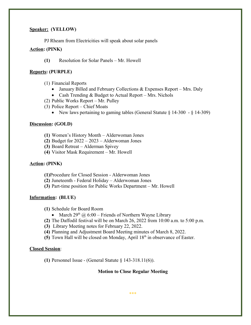#### **Speaker: (YELLOW)**

PJ Rheam from Electricities will speak about solar panels

#### **Action: (PINK)**

**(1)** Resolution for Solar Panels – Mr. Howell

#### **Reports: (PURPLE)**

- (1) Financial Reports
	- January Billed and February Collections & Expenses Report Mrs. Daly
	- Cash Trending  $&$  Budget to Actual Report Mrs. Nichols
- (2) Public Works Report Mr. Pulley
- (3) Police Report Chief Moats
	- New laws pertaining to gaming tables (General Statute  $\S 14-300 \S 14-309$ )

#### **Discussion: (GOLD)**

- **(1)** Women's History Month Alderwoman Jones
- **(2)** Budget for 2022 2023 Alderwoman Jones
- **(3)** Board Retreat Alderman Spivey
- **(4)** Visitor Mask Requirement Mr. Howell

#### **Action: (PINK)**

- **(1)**Procedure for Closed Session Alderwoman Jones
- **(2)** Juneteenth Federal Holiday Alderwoman Jones
- **(3)** Part-time position for Public Works Department Mr. Howell

#### **Information: (BLUE)**

- **(1)** Schedule for Board Room
	- March  $29^{th}$  @ 6:00 Friends of Northern Wayne Library
- **(2)** The Daffodil festival will be on March 26, 2022 from 10:00 a.m. to 5:00 p.m.
- **(3)** Library Meeting notes for February 22, 2022.
- **(4)** Planning and Adjustment Board Meeting minutes of March 8, 2022.
- **(5)** Town Hall will be closed on Monday, April 18<sup>th</sup> in observance of Easter.

#### **Closed Session**:

**(1)** Personnel Issue - (General Statute § 143-318.11(6)).

#### **Motion to Close Regular Meeting**